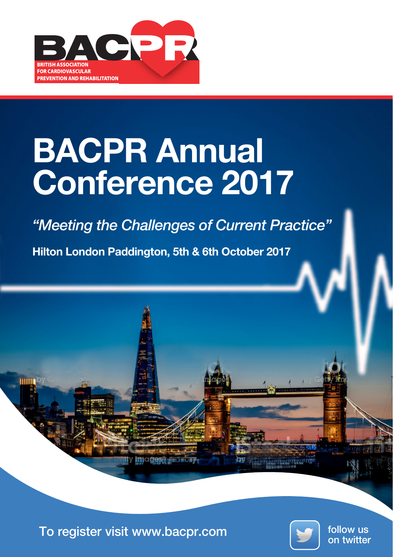

## BACPR Annual Conference 2017

*"Meeting the Challenges of Current Practice"*

Hilton London Paddington, 5th & 6th October 2017



To register visit www.bacpr.com **To register visit www.bacpr.com** 



follow us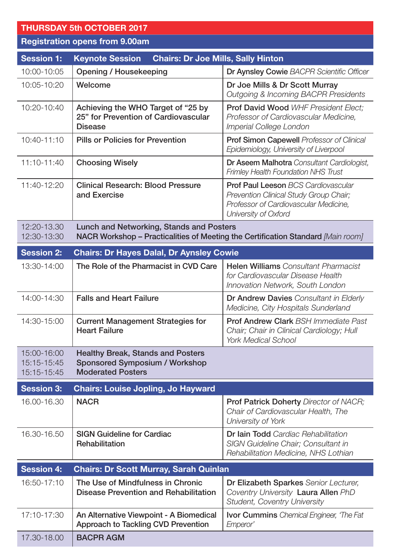## THURSDAY 5th OCTOBER 2017 Registration opens from 9.00am Session 1: Keynote Session Chairs: Dr Joe Mills, Sally Hinton 10:00-10:05 Opening / Housekeeping Dr Aynsley Cowie *BACPR Scientific Officer* 10:05-10:20 Welcome Dr Joe Mills & Dr Scott Murray *Outgoing & Incoming BACPR Presidents* 10:20-10:40 Achieving the WHO Target of "25 by 25" for Prevention of Cardiovascular Disease Prof David Wood *WHF President Elect; Professor of Cardiovascular Medicine, Imperial College London* 10:40-11:10 Pills or Policies for Prevention Prof Simon Capewell *Professor of Clinical Epidemiology, University of Liverpool* 11:10-11:40 Choosing Wisely Dr Aseem Malhotra *Consultant Cardiologist, Frimley Health Foundation NHS Trust* 11:40-12:20 Clinical Research: Blood Pressure and Exercise Prof Paul Leeson *BCS Cardiovascular Prevention Clinical Study Group Chair; Professor of Cardiovascular Medicine, University of Oxford* 12:20-13.30 12:30-13:30 Lunch and Networking, Stands and Posters NACR Workshop – Practicalities of Meeting the Certification Standard *[Main room]* Session 2: Chairs: Dr Hayes Dalal, Dr Aynsley Cowie 13:30-14:00 The Role of the Pharmacist in CVD Care Helen Williams *Consultant Pharmacist for Cardiovascular Disease Health Innovation Network, South London* 14:00-14:30 Falls and Heart Failure Dr Andrew Davies *Consultant in Elderly Medicine, City Hospitals Sunderland* 14:30-15:00 Current Management Strategies for Heart Failure Prof Andrew Clark *BSH Immediate Past Chair; Chair in Clinical Cardiology; Hull York Medical School* 15:00-16:00 15:15-15:45 15:15-15:45 Healthy Break, Stands and Posters Sponsored Symposium / Workshop Moderated Posters Session 3: Chairs: Louise Jopling, Jo Hayward 16.00-16.30 NACR Prof Patrick Doherty *Director of NACR; Chair of Cardiovascular Health, The University of York* 16.30-16.50  $\parallel$  SIGN Guideline for Cardiac **Rehabilitation** Dr Iain Todd *Cardiac Rehabilitation SIGN Guideline Chair; Consultant in Rehabilitation Medicine, NHS Lothian* Session 4: Chairs: Dr Scott Murray, Sarah Quinlan 16:50-17:10 The Use of Mindfulness in Chronic Disease Prevention and Rehabilitation Dr Elizabeth Sparkes *Senior Lecturer, Coventry University* Laura Allen *PhD Student, Coventry University* 17:10-17:30 An Alternative Viewpoint - A Biomedical Approach to Tackling CVD Prevention Ivor Cummins *Chemical Engineer, 'The Fat Emperor'*

17.30-18.00 BACPR AGM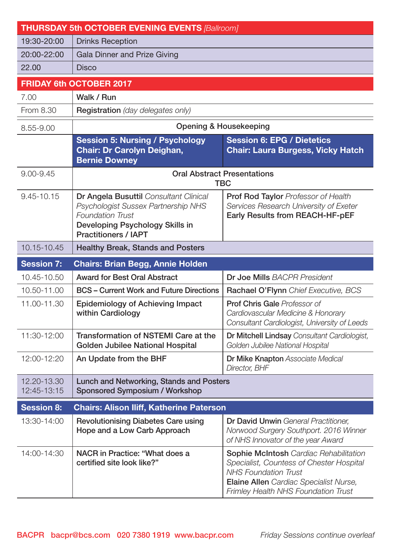| <b>THURSDAY 5th OCTOBER EVENING EVENTS [Ballroom]</b> |                                                                                                                                                                            |                                                                                                                                                                                                           |  |
|-------------------------------------------------------|----------------------------------------------------------------------------------------------------------------------------------------------------------------------------|-----------------------------------------------------------------------------------------------------------------------------------------------------------------------------------------------------------|--|
| 19:30-20:00                                           | <b>Drinks Reception</b>                                                                                                                                                    |                                                                                                                                                                                                           |  |
| 20:00-22:00                                           | Gala Dinner and Prize Giving                                                                                                                                               |                                                                                                                                                                                                           |  |
| 22.00                                                 | <b>Disco</b>                                                                                                                                                               |                                                                                                                                                                                                           |  |
| <b>FRIDAY 6th OCTOBER 2017</b>                        |                                                                                                                                                                            |                                                                                                                                                                                                           |  |
| 7.00                                                  | Walk / Run                                                                                                                                                                 |                                                                                                                                                                                                           |  |
| From 8.30                                             | Registration (day delegates only)                                                                                                                                          |                                                                                                                                                                                                           |  |
| 8.55-9.00                                             | Opening & Housekeeping                                                                                                                                                     |                                                                                                                                                                                                           |  |
|                                                       | <b>Session 5: Nursing / Psychology</b><br>Chair: Dr Carolyn Deighan,<br><b>Bernie Downey</b>                                                                               | <b>Session 6: EPG / Dietetics</b><br><b>Chair: Laura Burgess, Vicky Hatch</b>                                                                                                                             |  |
| $9.00 - 9.45$                                         | <b>Oral Abstract Presentations</b><br>TBC                                                                                                                                  |                                                                                                                                                                                                           |  |
| 9.45-10.15                                            | Dr Angela Busuttil Consultant Clinical<br>Psychologist Sussex Partnership NHS<br><b>Foundation Trust</b><br>Developing Psychology Skills in<br><b>Practitioners / IAPT</b> | <b>Prof Rod Taylor Professor of Health</b><br>Services Research University of Exeter<br>Early Results from REACH-HF-pEF                                                                                   |  |
| 10.15-10.45                                           | Healthy Break, Stands and Posters                                                                                                                                          |                                                                                                                                                                                                           |  |
| <b>Session 7:</b>                                     | <b>Chairs: Brian Begg, Annie Holden</b>                                                                                                                                    |                                                                                                                                                                                                           |  |
| 10.45-10.50                                           | <b>Award for Best Oral Abstract</b>                                                                                                                                        | <b>Dr Joe Mills BACPR President</b>                                                                                                                                                                       |  |
| 10.50-11.00                                           | <b>BCS</b> – Current Work and Future Directions                                                                                                                            | Rachael O'Flynn Chief Executive, BCS                                                                                                                                                                      |  |
| 11.00-11.30                                           | Epidemiology of Achieving Impact<br>within Cardiology                                                                                                                      | Prof Chris Gale Professor of<br>Cardiovascular Medicine & Honorary<br>Consultant Cardiologist, University of Leeds                                                                                        |  |
| 11:30-12:00                                           | Transformation of NSTEMI Care at the<br>Golden Jubilee National Hospital                                                                                                   | Dr Mitchell Lindsay Consultant Cardiologist,<br>Golden Jubilee National Hospital                                                                                                                          |  |
| 12:00-12:20                                           | An Update from the BHF                                                                                                                                                     | Dr Mike Knapton Associate Medical<br>Director, BHF                                                                                                                                                        |  |
| 12.20-13.30<br>12:45-13:15                            | Lunch and Networking, Stands and Posters<br>Sponsored Symposium / Workshop                                                                                                 |                                                                                                                                                                                                           |  |
| <b>Session 8:</b>                                     | <b>Chairs: Alison Iliff, Katherine Paterson</b>                                                                                                                            |                                                                                                                                                                                                           |  |
| 13:30-14:00                                           | Revolutionising Diabetes Care using<br>Hope and a Low Carb Approach                                                                                                        | Dr David Unwin General Practitioner.<br>Norwood Surgery Southport. 2016 Winner<br>of NHS Innovator of the year Award                                                                                      |  |
| 14:00-14:30                                           | NACR in Practice: "What does a<br>certified site look like?"                                                                                                               | Sophie McIntosh Cardiac Rehabilitation<br>Specialist, Countess of Chester Hospital<br><b>NHS Foundation Trust</b><br>Elaine Allen Cardiac Specialist Nurse,<br><b>Frimley Health NHS Foundation Trust</b> |  |